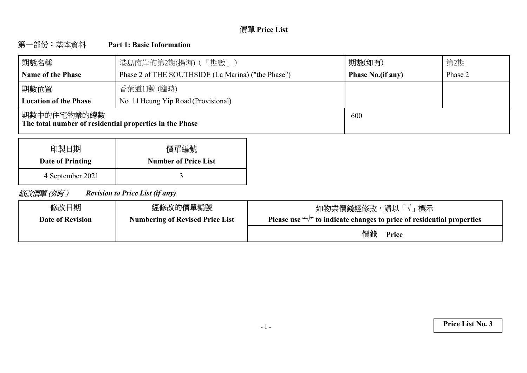# **Price List**

#### 第一部份:基本資料 **Part 1: Basic Information**

| 期數名稱                                                                    | 港島南岸的第2期(揚海) (「期數」)                                | 期數(如有)                   | 第2期     |
|-------------------------------------------------------------------------|----------------------------------------------------|--------------------------|---------|
| <b>Name of the Phase</b>                                                | Phase 2 of THE SOUTHSIDE (La Marina) ("the Phase") | <b>Phase No.(if any)</b> | Phase 2 |
| 期數位置                                                                    | 香葉道11號 (臨時)                                        |                          |         |
| <b>Location of the Phase</b>                                            | No. 11 Heung Yip Road (Provisional)                |                          |         |
| 期數中的住宅物業的總數 <br>The total number of residential properties in the Phase |                                                    | 600                      |         |

| 印製日期             | 價單編號                        |
|------------------|-----------------------------|
| Date of Printing | <b>Number of Price List</b> |
| 4 September 2021 |                             |

修改價單(如有) *Revision to Price List (if any)*

| 修改日期                    | 經修改的價單編號                               | 如物業價錢經修改,請以「√」 標示                                                                |
|-------------------------|----------------------------------------|----------------------------------------------------------------------------------|
| <b>Date of Revision</b> | <b>Numbering of Revised Price List</b> | Please use " $\sqrt{ }$ " to indicate changes to price of residential properties |
|                         |                                        | 價錢<br>Price                                                                      |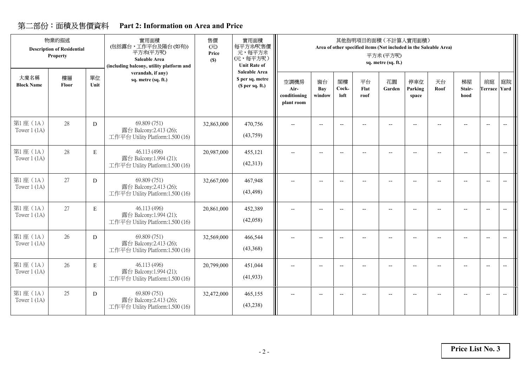## **Part 2: Information on Area and Price**

|                            | 物業的描述<br><b>Description of Residential</b><br>Property |             | 實用面積<br>(包括露台,工作平台及陽台(如有))<br>平方米(平方呎)<br>Saleable Area<br>(including balcony, utility platform and | 售價<br>(元)<br>Price<br>(S) | 實用面積<br>每平方米/呎售價<br>元,每平方米<br>(元,每平方呎)<br><b>Unit Rate of</b> |                                            |                          |                                                     |                    | 其他指明項目的面積 (不計算入實用面積)<br>Area of other specified items (Not included in the Saleable Area)<br>平方米(平方呎)<br>sq. metre (sq. ft.) |                          |                          |                      |                           |                                                     |
|----------------------------|--------------------------------------------------------|-------------|-----------------------------------------------------------------------------------------------------|---------------------------|---------------------------------------------------------------|--------------------------------------------|--------------------------|-----------------------------------------------------|--------------------|------------------------------------------------------------------------------------------------------------------------------|--------------------------|--------------------------|----------------------|---------------------------|-----------------------------------------------------|
| 大廈名稱<br><b>Block Name</b>  | 樓層<br>Floor                                            | 單位<br>Unit  | verandah, if any)<br>sq. metre (sq. ft.)                                                            |                           | Saleable Area<br>\$ per sq. metre<br>(S per sq. ft.)          | 空調機房<br>Air-<br>conditioning<br>plant room | 窗台<br>Bay<br>window      | 閣樓<br>Cock-<br>loft                                 | 平台<br>Flat<br>roof | 花園<br>Garden                                                                                                                 | 停車位<br>Parking<br>space  | 天台<br>Roof               | 梯屋<br>Stair-<br>hood | 前庭<br><b>Terrace</b> Yard | 庭院                                                  |
| 第1座(1A)<br>Tower $1$ (1A)  | 28                                                     | D           | 69.809 (751)<br>露台 Balcony:2.413 (26);<br>工作平台 Utility Platform:1.500 (16)                          | 32,863,000                | 470,756<br>(43,759)                                           | $-$                                        |                          | $-$                                                 |                    |                                                                                                                              | $\overline{\phantom{a}}$ |                          |                      | $\overline{\phantom{a}}$  | $\overline{\phantom{a}}$                            |
| 第1座(1A)<br>Tower $1(1A)$   | 28                                                     | $\mathbf E$ | 46.113 (496)<br>露台 Balcony:1.994 (21);<br>工作平台 Utility Platform:1.500 (16)                          | 20,987,000                | 455,121<br>(42,313)                                           | --                                         | Ξ.                       | $\hspace{0.05cm} -\hspace{0.05cm} -\hspace{0.05cm}$ | $-$                | $- -$                                                                                                                        | Ξ.                       |                          | --                   | $\overline{\phantom{a}}$  | $\overline{\phantom{m}}$                            |
| 第1座(1A)<br>Tower $1$ (1A)  | 27                                                     | D           | 69.809 (751)<br>露台 Balcony:2.413 (26);<br>工作平台 Utility Platform:1.500 (16)                          | 32,667,000                | 467,948<br>(43, 498)                                          | --                                         | $\overline{\phantom{a}}$ | $-$                                                 | --                 | $-$                                                                                                                          | $\overline{\phantom{m}}$ |                          |                      | $\overline{\phantom{a}}$  | $\hspace{0.05cm} -\hspace{0.05cm} -\hspace{0.05cm}$ |
| 第1座 (1A)<br>Tower $1(1A)$  | 27                                                     | $\mathbf E$ | 46.113 (496)<br>露台 Balcony:1.994 (21);<br>工作平台 Utility Platform:1.500 (16)                          | 20,861,000                | 452,389<br>(42,058)                                           | $\overline{\phantom{a}}$                   | $\overline{\phantom{a}}$ | $\overline{\phantom{a}}$                            | $-$                | $\overline{\phantom{a}}$                                                                                                     | $-$                      | $\overline{\phantom{a}}$ | $\overline{a}$       | $\overline{\phantom{a}}$  | $\overline{\phantom{a}}$                            |
| 第1座(1A)<br>Tower $1$ (1A)  | 26                                                     | D           | 69.809 (751)<br>露台 Balcony:2.413 (26);<br>工作平台 Utility Platform:1.500 (16)                          | 32,569,000                | 466,544<br>(43,368)                                           | $-$                                        | $\overline{\phantom{a}}$ | --                                                  | --                 | $-$                                                                                                                          | $\overline{a}$           |                          |                      | $\overline{\phantom{m}}$  | $\overline{\phantom{m}}$                            |
| 第1座 (1A)<br>Tower $1$ (1A) | 26                                                     | E           | 46.113 (496)<br>露台 Balcony:1.994 (21);<br>工作平台 Utility Platform:1.500 (16)                          | 20,799,000                | 451,044<br>(41, 933)                                          | $-$                                        | $\overline{\phantom{a}}$ | $\overline{\phantom{a}}$                            | --                 | $-$                                                                                                                          | --                       |                          | $-$                  | $\overline{\phantom{a}}$  |                                                     |
| 第1座(1A)<br>Tower $1$ (1A)  | 25                                                     | D           | 69.809 (751)<br>露台 Balcony:2.413 (26);<br>工作平台 Utility Platform:1.500 (16)                          | 32,472,000                | 465,155<br>(43, 238)                                          | --                                         | $\overline{\phantom{a}}$ | $\overline{\phantom{a}}$                            | --                 | --                                                                                                                           | --                       |                          |                      | $\overline{\phantom{a}}$  | $\overline{\phantom{a}}$                            |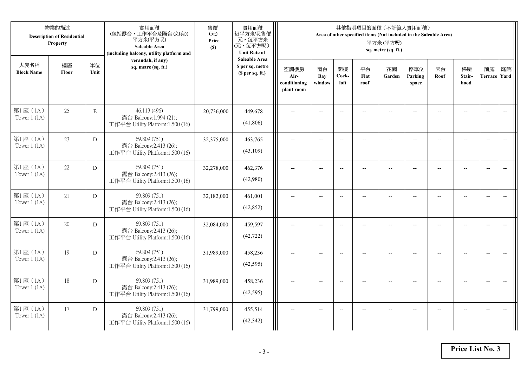|                            | 物業的描述<br><b>Description of Residential</b><br>Property |             | 實用面積<br>(包括露台,工作平台及陽台(如有))<br>平方米(平方呎)<br><b>Saleable Area</b><br>(including balcony, utility platform and | 售價<br>(元)<br>Price<br>(S) | 實用面積<br>每平方米/呎售價<br>元,每平方米<br>(元,每平方呎)<br><b>Unit Rate of</b> |                                            |                          |                          |                    | 其他指明項目的面積(不計算入實用面積)<br>Area of other specified items (Not included in the Saleable Area)<br>平方米(平方呎)<br>sq. metre (sq. ft.) |                          |                          |                          |                           |                          |
|----------------------------|--------------------------------------------------------|-------------|------------------------------------------------------------------------------------------------------------|---------------------------|---------------------------------------------------------------|--------------------------------------------|--------------------------|--------------------------|--------------------|-----------------------------------------------------------------------------------------------------------------------------|--------------------------|--------------------------|--------------------------|---------------------------|--------------------------|
| 大廈名稱<br><b>Block Name</b>  | 樓層<br>Floor                                            | 單位<br>Unit  | verandah, if any)<br>sq. metre (sq. ft.)                                                                   |                           | <b>Saleable Area</b><br>\$ per sq. metre<br>(\$ per sq. ft.)  | 空調機房<br>Air-<br>conditioning<br>plant room | 窗台<br>Bay<br>window      | 閣樓<br>Cock-<br>loft      | 平台<br>Flat<br>roof | 花園<br>Garden                                                                                                                | 停車位<br>Parking<br>space  | 天台<br>Roof               | 梯屋<br>Stair-<br>hood     | 前庭<br><b>Terrace Yard</b> | 庭院                       |
| 第1座(1A)<br>Tower $1$ (1A)  | 25                                                     | $\mathbf E$ | 46.113 (496)<br>露台 Balcony:1.994 (21);<br>工作平台 Utility Platform:1.500 (16)                                 | 20,736,000                | 449,678<br>(41,806)                                           |                                            |                          | $\overline{\phantom{a}}$ |                    |                                                                                                                             |                          |                          |                          | $\overline{\phantom{a}}$  | $\overline{\phantom{a}}$ |
| 第1座(1A)<br>Tower $1$ (1A)  | 23                                                     | D           | 69.809 (751)<br>露台 Balcony:2.413 (26);<br>工作平台 Utility Platform:1.500 (16)                                 | 32,375,000                | 463,765<br>(43,109)                                           | $\overline{\phantom{a}}$                   | $\overline{\phantom{a}}$ | $\overline{\phantom{a}}$ | $-$                | $\hspace{0.05cm} \ldots$                                                                                                    | --                       | $\overline{\phantom{a}}$ | $-$                      | $\overline{\phantom{m}}$  | $\overline{\phantom{m}}$ |
| 第1座(1A)<br>Tower $1$ (1A)  | 22                                                     | D           | 69.809 (751)<br>露台 Balcony:2.413 (26);<br>工作平台 Utility Platform:1.500 (16)                                 | 32,278,000                | 462,376<br>(42,980)                                           |                                            | $\overline{\phantom{a}}$ | $\overline{a}$           | $-$                | $\overline{\phantom{a}}$                                                                                                    |                          |                          | $\overline{a}$           | $\overline{a}$            |                          |
| 第1座(1A)<br>Tower $1$ (1A)  | 21                                                     | D           | 69.809 (751)<br>露台 Balcony:2.413 (26);<br>工作平台 Utility Platform:1.500 (16)                                 | 32,182,000                | 461,001<br>(42, 852)                                          | $\overline{a}$                             | $-$                      | $\overline{\phantom{a}}$ | $\overline{a}$     | $\overline{a}$                                                                                                              | $\overline{\phantom{a}}$ | $\overline{a}$           | $\overline{\phantom{a}}$ | $\overline{\phantom{a}}$  | $\overline{\phantom{a}}$ |
| 第1座(1A)<br>Tower $1$ (1A)  | 20                                                     | D           | 69.809 (751)<br>露台 Balcony:2.413 (26);<br>工作平台 Utility Platform:1.500 (16)                                 | 32,084,000                | 459,597<br>(42, 722)                                          | $\overline{\phantom{a}}$                   | $\overline{a}$           | $\overline{\phantom{a}}$ | $-$                | $\overline{\phantom{a}}$                                                                                                    | $-$                      |                          | $\overline{a}$           | $\overline{\phantom{a}}$  | $\overline{\phantom{m}}$ |
| 第1座(1A)<br>Tower $1$ (1A)  | 19                                                     | D           | 69.809 (751)<br>露台 Balcony:2.413 (26);<br>工作平台 Utility Platform:1.500 (16)                                 | 31,989,000                | 458,236<br>(42, 595)                                          | $\overline{\phantom{a}}$                   | $\sim$                   | $\overline{a}$           |                    | $-$                                                                                                                         |                          |                          | $-$                      | $\overline{a}$            |                          |
| 第1座(1A)<br>Tower $1$ (1A)  | 18                                                     | D           | 69.809 (751)<br>露台 Balcony:2.413 (26);<br>工作平台 Utility Platform:1.500 (16)                                 | 31,989,000                | 458,236<br>(42, 595)                                          | $\overline{a}$                             | $-$                      | $\overline{\phantom{m}}$ |                    | $\overline{\phantom{a}}$                                                                                                    |                          |                          | $-$                      | $\overline{\phantom{a}}$  | $-$                      |
| 第1座 (1A)<br>Tower $1$ (1A) | 17                                                     | D           | 69.809 (751)<br>露台 Balcony:2.413 (26);<br>工作平台 Utility Platform:1.500 (16)                                 | 31,799,000                | 455,514<br>(42, 342)                                          |                                            | $\overline{a}$           | $\overline{a}$           |                    | $\overline{\phantom{a}}$                                                                                                    |                          |                          | $-$                      | $\overline{\phantom{a}}$  | $\overline{\phantom{a}}$ |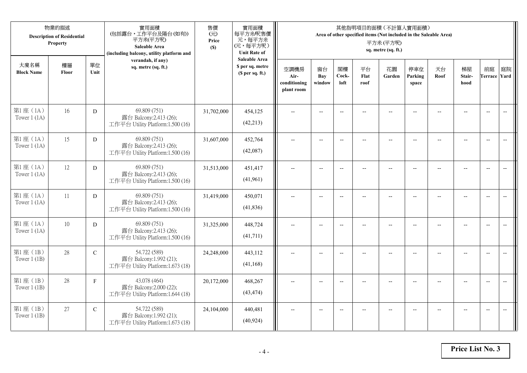|                            | 物業的描述<br><b>Description of Residential</b><br>Property |               | 實用面積<br>(包括露台,工作平台及陽台(如有))<br>平方米(平方呎)<br>Saleable Area<br>(including balcony, utility platform and | 售價<br>(元)<br>Price<br>(S) | 實用面積<br>每平方米/呎售價<br>元,每平方米<br>(元,每平方呎)<br><b>Unit Rate of</b> |                                            |                          |                          |                    | 其他指明項目的面積(不計算入實用面積)<br>Area of other specified items (Not included in the Saleable Area)<br>平方米(平方呎)<br>sq. metre (sq. ft.) |                          |                          |                      |                           |                                                     |
|----------------------------|--------------------------------------------------------|---------------|-----------------------------------------------------------------------------------------------------|---------------------------|---------------------------------------------------------------|--------------------------------------------|--------------------------|--------------------------|--------------------|-----------------------------------------------------------------------------------------------------------------------------|--------------------------|--------------------------|----------------------|---------------------------|-----------------------------------------------------|
| 大廈名稱<br><b>Block Name</b>  | 樓層<br>Floor                                            | 單位<br>Unit    | verandah, if any)<br>sq. metre (sq. ft.)                                                            |                           | <b>Saleable Area</b><br>\$ per sq. metre<br>(\$ per sq. ft.)  | 空調機房<br>Air-<br>conditioning<br>plant room | 窗台<br>Bay<br>window      | 閣樓<br>Cock-<br>loft      | 平台<br>Flat<br>roof | 花園<br>Garden                                                                                                                | 停車位<br>Parking<br>space  | 天台<br>Roof               | 梯屋<br>Stair-<br>hood | 前庭<br><b>Terrace Yard</b> | 庭院                                                  |
| 第1座(1A)<br>Tower $1$ (1A)  | 16                                                     | D             | 69.809 (751)<br>露台 Balcony:2.413 (26);<br>工作平台 Utility Platform:1.500 (16)                          | 31,702,000                | 454,125<br>(42, 213)                                          |                                            |                          | $\overline{\phantom{a}}$ |                    |                                                                                                                             |                          |                          |                      | $\overline{\phantom{a}}$  | $\overline{\phantom{a}}$                            |
| 第1座(1A)<br>Tower $1$ (1A)  | 15                                                     | D             | 69.809 (751)<br>露台 Balcony:2.413 (26);<br>工作平台 Utility Platform:1.500 (16)                          | 31,607,000                | 452,764<br>(42,087)                                           | $\overline{\phantom{a}}$                   | $\overline{\phantom{a}}$ | $\overline{\phantom{a}}$ | $-$                | $\overline{\phantom{a}}$                                                                                                    | $-$                      | $\overline{\phantom{a}}$ | $-$                  | $\overline{\phantom{a}}$  | $-$                                                 |
| 第1座(1A)<br>Tower $1$ (1A)  | 12                                                     | D             | 69.809 (751)<br>露台 Balcony:2.413 (26);<br>工作平台 Utility Platform:1.500 (16)                          | 31,513,000                | 451,417<br>(41,961)                                           |                                            |                          | $\overline{a}$           | $-$                | $\overline{\phantom{a}}$                                                                                                    |                          |                          |                      | $\overline{a}$            |                                                     |
| 第1座(1A)<br>Tower $1$ (1A)  | 11                                                     | D             | 69.809 (751)<br>露台 Balcony:2.413 (26);<br>工作平台 Utility Platform:1.500 (16)                          | 31,419,000                | 450,071<br>(41, 836)                                          | $\overline{a}$                             | $\sim$                   | $\overline{\phantom{m}}$ | $\overline{a}$     | $\overline{\phantom{a}}$                                                                                                    | $\overline{\phantom{a}}$ |                          | $\overline{a}$       | $\overline{\phantom{a}}$  | $\overline{\phantom{a}}$                            |
| 第1座(1A)<br>Tower $1$ (1A)  | 10                                                     | D             | 69.809 (751)<br>露台 Balcony:2.413 (26);<br>工作平台 Utility Platform:1.500 (16)                          | 31,325,000                | 448,724<br>(41,711)                                           | $\overline{a}$                             | $- -$                    | $\overline{\phantom{m}}$ | $-$                | $\hspace{0.05cm} -\hspace{0.05cm} -\hspace{0.05cm}$                                                                         | $-$                      | --                       | $-$                  | $\overline{\phantom{m}}$  | $\hspace{0.05cm} -\hspace{0.05cm} -\hspace{0.05cm}$ |
| 第1座 (1B)<br>Tower $1$ (1B) | 28                                                     | $\mathcal{C}$ | 54.722 (589)<br>露台 Balcony:1.992 (21);<br>工作平台 Utility Platform:1.673 (18)                          | 24,248,000                | 443,112<br>(41, 168)                                          | $\overline{\phantom{a}}$                   | $\overline{a}$           | $\overline{\phantom{a}}$ |                    | $\overline{a}$                                                                                                              |                          | $-$                      | $-$                  | $\overline{\phantom{a}}$  | $-$                                                 |
| 第1座 (1B)<br>Tower $1$ (1B) | 28                                                     | $\rm F$       | 43.078 (464)<br>露台 Balcony:2.000 (22);<br>工作平台 Utility Platform:1.644 (18)                          | 20,172,000                | 468,267<br>(43, 474)                                          | $\sim$                                     | $\sim$                   | $\overline{\phantom{a}}$ |                    | $\sim$                                                                                                                      |                          |                          | $\overline{a}$       | $\overline{\phantom{a}}$  | $\overline{\phantom{a}}$                            |
| 第1座 (1B)<br>Tower $1$ (1B) | 27                                                     | $\mathcal{C}$ | 54.722 (589)<br>露台 Balcony:1.992 (21);<br>工作平台 Utility Platform:1.673 (18)                          | 24,104,000                | 440,481<br>(40, 924)                                          |                                            |                          | $\overline{\phantom{a}}$ |                    |                                                                                                                             |                          |                          |                      | $\overline{\phantom{a}}$  | $-$                                                 |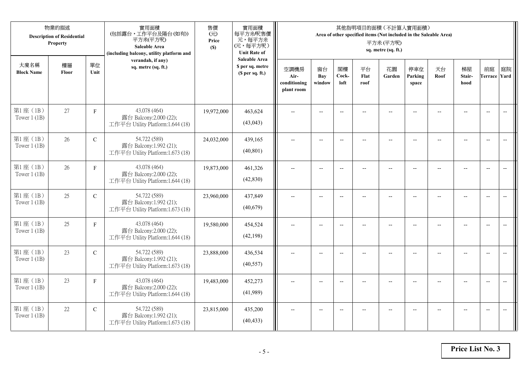|                            | 物業的描述<br><b>Description of Residential</b><br>Property |               | 實用面積<br>(包括露台,工作平台及陽台(如有))<br>平方米(平方呎)<br>Saleable Area<br>(including balcony, utility platform and | 售價<br>(元)<br>Price<br>(S) | 實用面積<br>每平方米/呎售價<br>元,每平方米<br>(元,每平方呎)<br><b>Unit Rate of</b>          |                                            |                            |                          |                          | 其他指明項目的面積 (不計算入實用面積)<br>Area of other specified items (Not included in the Saleable Area)<br>平方米(平方呎)<br>sq. metre (sq. ft.) |                          |                |                      |                           |                          |
|----------------------------|--------------------------------------------------------|---------------|-----------------------------------------------------------------------------------------------------|---------------------------|------------------------------------------------------------------------|--------------------------------------------|----------------------------|--------------------------|--------------------------|------------------------------------------------------------------------------------------------------------------------------|--------------------------|----------------|----------------------|---------------------------|--------------------------|
| 大廈名稱<br><b>Block Name</b>  | 樓層<br>Floor                                            | 單位<br>Unit    | verandah, if any)<br>sq. metre (sq. ft.)                                                            |                           | <b>Saleable Area</b><br>\$ per sq. metre<br>(S <sub>per</sub> sq. ft.) | 空調機房<br>Air-<br>conditioning<br>plant room | 窗台<br><b>Bay</b><br>window | 閣樓<br>Cock-<br>loft      | 平台<br>Flat<br>roof       | 花園<br>Garden                                                                                                                 | 停車位<br>Parking<br>space  | 天台<br>Roof     | 梯屋<br>Stair-<br>hood | 前庭<br><b>Terrace Yard</b> | 庭院                       |
| 第1座(1B)<br>Tower $1$ (1B)  | 27                                                     | $\mathbf F$   | 43.078 (464)<br>露台 Balcony:2.000 (22);<br>工作平台 Utility Platform:1.644 (18)                          | 19,972,000                | 463,624<br>(43,043)                                                    |                                            |                            | $\overline{\phantom{a}}$ |                          |                                                                                                                              |                          |                |                      | $\overline{a}$            | $\overline{\phantom{a}}$ |
| 第1座 (1B)<br>Tower $1$ (1B) | 26                                                     | $\mathcal{C}$ | 54.722 (589)<br>露台 Balcony:1.992 (21);<br>工作平台 Utility Platform:1.673 (18)                          | 24,032,000                | 439,165<br>(40, 801)                                                   | $\overline{\phantom{a}}$                   | $\overline{\phantom{a}}$   | $\overline{\phantom{a}}$ |                          | $\overline{\phantom{a}}$                                                                                                     | $-$                      |                | $\overline{a}$       | $-$                       |                          |
| 第1座 (1B)<br>Tower $1$ (1B) | 26                                                     | $\mathbf F$   | 43.078 (464)<br>露台 Balcony:2.000 (22);<br>工作平台 Utility Platform:1.644 (18)                          | 19,873,000                | 461,326<br>(42, 830)                                                   |                                            | $\overline{\phantom{a}}$   | $-$                      | $-$                      | $-$                                                                                                                          |                          |                | $\overline{a}$       | $\overline{\phantom{a}}$  |                          |
| 第1座 (1B)<br>Tower $1$ (1B) | 25                                                     | $\mathbf C$   | 54.722 (589)<br>露台 Balcony:1.992 (21);<br>工作平台 Utility Platform:1.673 (18)                          | 23,960,000                | 437,849<br>(40,679)                                                    | $-$                                        | $\overline{\phantom{m}}$   | $\overline{\phantom{a}}$ | $\overline{\phantom{a}}$ | $-$                                                                                                                          | $\overline{\phantom{a}}$ | $\overline{a}$ | --                   | $-$                       | $\overline{\phantom{m}}$ |
| 第1座 (1B)<br>Tower $1$ (1B) | 25                                                     | F             | 43.078 (464)<br>露台 Balcony:2.000 (22);<br>工作平台 Utility Platform:1.644 (18)                          | 19,580,000                | 454,524<br>(42, 198)                                                   | $\sim$                                     | $\overline{a}$             | $\overline{a}$           | $\overline{a}$           | $-$                                                                                                                          | $\overline{a}$           |                | $\overline{a}$       | $\overline{\phantom{a}}$  | $\overline{\phantom{a}}$ |
| 第1座 (1B)<br>Tower $1$ (1B) | 23                                                     | $\mathcal{C}$ | 54.722 (589)<br>露台 Balcony:1.992 (21);<br>工作平台 Utility Platform:1.673 (18)                          | 23,888,000                | 436,534<br>(40, 557)                                                   | $\overline{\phantom{a}}$                   | $\overline{a}$             | $-$                      |                          | $-$                                                                                                                          | $-$                      | $-$            | $\overline{a}$       | $\overline{\phantom{a}}$  | $\sim$                   |
| 第1座 (1B)<br>Tower $1(1B)$  | 23                                                     | $\mathbf F$   | 43.078 (464)<br>露台 Balcony:2.000 (22);<br>工作平台 Utility Platform:1.644 (18)                          | 19,483,000                | 452,273<br>(41,989)                                                    |                                            |                            | $\overline{\phantom{a}}$ |                          |                                                                                                                              |                          |                |                      | $\overline{\phantom{a}}$  | $\overline{\phantom{a}}$ |
| 第1座 (1B)<br>Tower $1$ (1B) | 22                                                     | $\mathbf C$   | 54.722 (589)<br>露台 Balcony:1.992 (21);<br>工作平台 Utility Platform:1.673 (18)                          | 23,815,000                | 435,200<br>(40, 433)                                                   | $\overline{\phantom{a}}$                   | $-$                        | $-$                      |                          | $\overline{a}$                                                                                                               | $-$                      |                | $-$                  | $-$                       | $\overline{\phantom{a}}$ |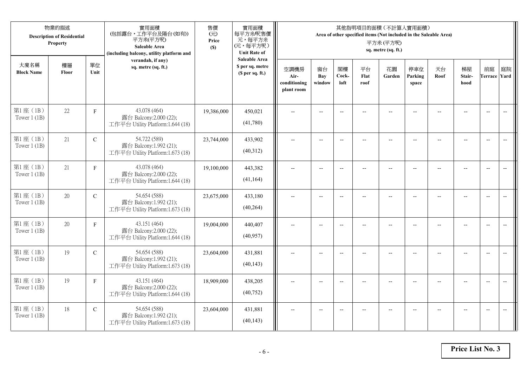|                            | 物業的描述<br><b>Description of Residential</b><br>Property |               | 實用面積<br>(包括露台,工作平台及陽台(如有))<br>平方米(平方呎)<br>Saleable Area<br>(including balcony, utility platform and | 售價<br>(元)<br>Price<br>(S) | 實用面積<br>每平方米/呎售價<br>元,每平方米<br>(元,每平方呎)<br><b>Unit Rate of</b>          |                                            |                          |                          |                          | 其他指明項目的面積 (不計算入實用面積)<br>Area of other specified items (Not included in the Saleable Area)<br>平方米(平方呎)<br>sq. metre (sq. ft.) |                          |                |                      |                           |                          |
|----------------------------|--------------------------------------------------------|---------------|-----------------------------------------------------------------------------------------------------|---------------------------|------------------------------------------------------------------------|--------------------------------------------|--------------------------|--------------------------|--------------------------|------------------------------------------------------------------------------------------------------------------------------|--------------------------|----------------|----------------------|---------------------------|--------------------------|
| 大廈名稱<br><b>Block Name</b>  | 樓層<br>Floor                                            | 單位<br>Unit    | verandah, if any)<br>sq. metre (sq. ft.)                                                            |                           | <b>Saleable Area</b><br>\$ per sq. metre<br>(S <sub>per</sub> sq. ft.) | 空調機房<br>Air-<br>conditioning<br>plant room | 窗台<br>Bay<br>window      | 閣樓<br>Cock-<br>loft      | 平台<br>Flat<br>roof       | 花園<br>Garden                                                                                                                 | 停車位<br>Parking<br>space  | 天台<br>Roof     | 梯屋<br>Stair-<br>hood | 前庭<br><b>Terrace Yard</b> | 庭院                       |
| 第1座(1B)<br>Tower $1$ (1B)  | 22                                                     | $\mathbf F$   | 43.078 (464)<br>露台 Balcony:2.000 (22);<br>工作平台 Utility Platform:1.644 (18)                          | 19,386,000                | 450,021<br>(41,780)                                                    |                                            |                          | $\overline{\phantom{a}}$ |                          |                                                                                                                              |                          |                |                      | $\overline{a}$            | $\overline{\phantom{a}}$ |
| 第1座 (1B)<br>Tower $1$ (1B) | 21                                                     | $\mathcal{C}$ | 54.722 (589)<br>露台 Balcony:1.992 (21);<br>工作平台 Utility Platform:1.673 (18)                          | 23,744,000                | 433,902<br>(40,312)                                                    | $\overline{\phantom{a}}$                   | $\overline{\phantom{a}}$ | $\overline{\phantom{a}}$ | $\overline{a}$           | $\overline{\phantom{a}}$                                                                                                     | $-$                      |                | $\overline{a}$       | $-$                       | $\overline{\phantom{m}}$ |
| 第1座 (1B)<br>Tower $1$ (1B) | 21                                                     | $\mathbf F$   | 43.078 (464)<br>露台 Balcony:2.000 (22);<br>工作平台 Utility Platform:1.644 (18)                          | 19,100,000                | 443,382<br>(41, 164)                                                   |                                            | $\overline{\phantom{a}}$ | $-$                      | $-$                      | $-$                                                                                                                          |                          |                | $\overline{a}$       | $\overline{\phantom{a}}$  |                          |
| 第1座 (1B)<br>Tower $1$ (1B) | 20                                                     | $\mathbf C$   | 54.654 (588)<br>露台 Balcony:1.992 (21);<br>工作平台 Utility Platform:1.673 (18)                          | 23,675,000                | 433,180<br>(40, 264)                                                   | $-$                                        | $\overline{\phantom{m}}$ | $\overline{\phantom{a}}$ | $\overline{\phantom{a}}$ | $-$                                                                                                                          | $\overline{\phantom{a}}$ | $\overline{a}$ | --                   | $-$                       | $\overline{\phantom{m}}$ |
| 第1座 (1B)<br>Tower $1$ (1B) | 20                                                     | F             | 43.151 (464)<br>露台 Balcony:2.000 (22);<br>工作平台 Utility Platform:1.644 (18)                          | 19,004,000                | 440,407<br>(40, 957)                                                   | $\sim$                                     | $\overline{a}$           | $\overline{a}$           | $\overline{a}$           | $-$                                                                                                                          | $\overline{a}$           |                | $\overline{a}$       | $\overline{\phantom{a}}$  | $\overline{\phantom{a}}$ |
| 第1座(1B)<br>Tower $1$ (1B)  | 19                                                     | $\mathcal{C}$ | 54.654 (588)<br>露台 Balcony:1.992 (21);<br>工作平台 Utility Platform:1.673 (18)                          | 23,604,000                | 431,881<br>(40, 143)                                                   | $\overline{\phantom{a}}$                   | $\overline{a}$           | $-$                      |                          | $-$                                                                                                                          | $-$                      | $-$            | $\overline{a}$       | $\overline{\phantom{a}}$  | $\sim$                   |
| 第1座 (1B)<br>Tower $1(1B)$  | 19                                                     | $\mathbf F$   | 43.151 (464)<br>露台 Balcony:2.000 (22);<br>工作平台 Utility Platform:1.644 (18)                          | 18,909,000                | 438,205<br>(40, 752)                                                   |                                            |                          | $\overline{\phantom{a}}$ |                          |                                                                                                                              |                          |                |                      | $\overline{\phantom{a}}$  | $\overline{\phantom{a}}$ |
| 第1座 (1B)<br>Tower $1$ (1B) | 18                                                     | $\mathbf C$   | 54.654 (588)<br>露台 Balcony:1.992 (21);<br>工作平台 Utility Platform:1.673 (18)                          | 23,604,000                | 431,881<br>(40, 143)                                                   | $\overline{\phantom{a}}$                   | $-$                      | $-$                      |                          | $\overline{a}$                                                                                                               | $-$                      |                | $-$                  | $-$                       | $\overline{\phantom{a}}$ |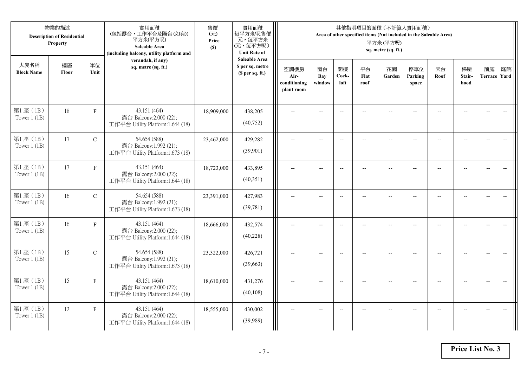|                            | 物業的描述<br><b>Description of Residential</b><br>Property |               | 實用面積<br>(包括露台,工作平台及陽台(如有))<br>平方米(平方呎)<br>Saleable Area<br>(including balcony, utility platform and | 售價<br>(元)<br>Price<br>(S) | 實用面積<br>每平方米/呎售價<br>元,每平方米<br>(元,每平方呎)<br><b>Unit Rate of</b>          |                                            |                          |                          |                          | 其他指明項目的面積 (不計算入實用面積)<br>Area of other specified items (Not included in the Saleable Area)<br>平方米(平方呎)<br>sq. metre (sq. ft.) |                          |                |                      |                           |                          |
|----------------------------|--------------------------------------------------------|---------------|-----------------------------------------------------------------------------------------------------|---------------------------|------------------------------------------------------------------------|--------------------------------------------|--------------------------|--------------------------|--------------------------|------------------------------------------------------------------------------------------------------------------------------|--------------------------|----------------|----------------------|---------------------------|--------------------------|
| 大廈名稱<br><b>Block Name</b>  | 樓層<br>Floor                                            | 單位<br>Unit    | verandah, if any)<br>sq. metre (sq. ft.)                                                            |                           | <b>Saleable Area</b><br>\$ per sq. metre<br>(S <sub>per</sub> sq. ft.) | 空調機房<br>Air-<br>conditioning<br>plant room | 窗台<br>Bay<br>window      | 閣樓<br>Cock-<br>loft      | 平台<br>Flat<br>roof       | 花園<br>Garden                                                                                                                 | 停車位<br>Parking<br>space  | 天台<br>Roof     | 梯屋<br>Stair-<br>hood | 前庭<br><b>Terrace Yard</b> | 庭院                       |
| 第1座(1B)<br>Tower $1$ (1B)  | 18                                                     | $\mathbf F$   | 43.151 (464)<br>露台 Balcony:2.000 (22);<br>工作平台 Utility Platform:1.644 (18)                          | 18,909,000                | 438,205<br>(40, 752)                                                   |                                            |                          | $\overline{a}$           |                          |                                                                                                                              |                          |                |                      | $\overline{a}$            | $\overline{\phantom{a}}$ |
| 第1座 (1B)<br>Tower $1$ (1B) | 17                                                     | $\mathcal{C}$ | 54.654 (588)<br>露台 Balcony:1.992 (21);<br>工作平台 Utility Platform:1.673 (18)                          | 23,462,000                | 429,282<br>(39,901)                                                    | $\overline{\phantom{a}}$                   | $\overline{\phantom{a}}$ | $\overline{a}$           | $\overline{a}$           | $\overline{\phantom{a}}$                                                                                                     | $-$                      |                | $\overline{a}$       | $-$                       |                          |
| 第1座 (1B)<br>Tower $1$ (1B) | 17                                                     | $\mathbf F$   | 43.151 (464)<br>露台 Balcony:2.000 (22);<br>工作平台 Utility Platform:1.644 (18)                          | 18,723,000                | 433,895<br>(40,351)                                                    |                                            | $\overline{\phantom{a}}$ | $-$                      | $-$                      | $-$                                                                                                                          |                          |                | $\overline{a}$       | $\overline{\phantom{a}}$  |                          |
| 第1座 (1B)<br>Tower $1$ (1B) | 16                                                     | $\mathbf C$   | 54.654 (588)<br>露台 Balcony:1.992 (21);<br>工作平台 Utility Platform:1.673 (18)                          | 23,391,000                | 427,983<br>(39,781)                                                    | $-$                                        | $\overline{\phantom{m}}$ | $\overline{\phantom{a}}$ | $\overline{\phantom{a}}$ | $-$                                                                                                                          | $\overline{\phantom{a}}$ | $\overline{a}$ | --                   | $-$                       | $\overline{\phantom{m}}$ |
| 第1座 (1B)<br>Tower $1$ (1B) | 16                                                     | $\mathbf{F}$  | 43.151 (464)<br>露台 Balcony:2.000 (22);<br>工作平台 Utility Platform:1.644 (18)                          | 18,666,000                | 432,574<br>(40,228)                                                    | $\sim$                                     | $\overline{a}$           | $\overline{a}$           | $\overline{a}$           | $-$                                                                                                                          | $\overline{a}$           |                | $\overline{a}$       | $\overline{\phantom{a}}$  | $\overline{\phantom{a}}$ |
| 第1座(1B)<br>Tower $1$ (1B)  | 15                                                     | $\mathcal{C}$ | 54.654 (588)<br>露台 Balcony:1.992 (21);<br>工作平台 Utility Platform:1.673 (18)                          | 23,322,000                | 426,721<br>(39,663)                                                    | $\overline{\phantom{a}}$                   | $\overline{a}$           | $-$                      |                          | $-$                                                                                                                          | $-$                      | $-$            | $\overline{a}$       | $\overline{\phantom{a}}$  | $\overline{a}$           |
| 第1座 (1B)<br>Tower $1(1B)$  | 15                                                     | $\mathbf F$   | 43.151 (464)<br>露台 Balcony:2.000 (22);<br>工作平台 Utility Platform:1.644 (18)                          | 18,610,000                | 431,276<br>(40, 108)                                                   |                                            |                          |                          |                          |                                                                                                                              |                          |                |                      | $\overline{\phantom{a}}$  | $\overline{a}$           |
| 第1座 (1B)<br>Tower $1$ (1B) | 12                                                     | $\mathbf{F}$  | 43.151 (464)<br>露台 Balcony:2.000 (22);<br>工作平台 Utility Platform:1.644 (18)                          | 18,555,000                | 430,002<br>(39,989)                                                    | $\overline{\phantom{a}}$                   | $-$                      | $-$                      |                          | $\overline{a}$                                                                                                               | $-$                      |                | $-$                  | $-$                       | $\overline{\phantom{a}}$ |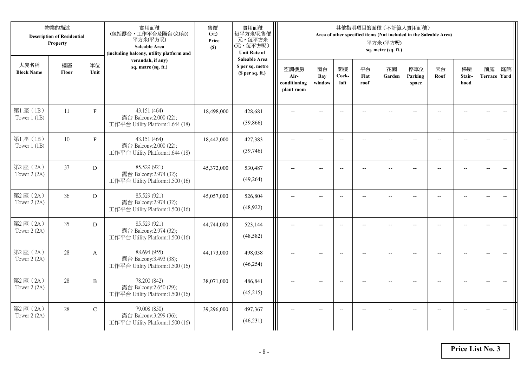|                            | 物業的描述<br><b>Description of Residential</b><br>Property |               | 實用面積<br>(包括露台,工作平台及陽台(如有))<br>平方米(平方呎)<br>Saleable Area<br>(including balcony, utility platform and | 售價<br>(元)<br>Price<br>(S) | 實用面積<br>每平方米/呎售價<br>元,每平方米<br>(元,每平方呎)<br><b>Unit Rate of</b> |                                            |                          |                          |                    | 其他指明項目的面積 (不計算入實用面積)<br>Area of other specified items (Not included in the Saleable Area)<br>平方米(平方呎)<br>sq. metre (sq. ft.) |                          |            |                      |                           |                                                     |
|----------------------------|--------------------------------------------------------|---------------|-----------------------------------------------------------------------------------------------------|---------------------------|---------------------------------------------------------------|--------------------------------------------|--------------------------|--------------------------|--------------------|------------------------------------------------------------------------------------------------------------------------------|--------------------------|------------|----------------------|---------------------------|-----------------------------------------------------|
| 大廈名稱<br><b>Block Name</b>  | 樓層<br>Floor                                            | 單位<br>Unit    | verandah, if any)<br>sq. metre (sq. ft.)                                                            |                           | <b>Saleable Area</b><br>\$ per sq. metre<br>(\$ per sq. ft.)  | 空調機房<br>Air-<br>conditioning<br>plant room | 窗台<br>Bay<br>window      | 閣樓<br>Cock-<br>loft      | 平台<br>Flat<br>roof | 花園<br>Garden                                                                                                                 | 停車位<br>Parking<br>space  | 天台<br>Roof | 梯屋<br>Stair-<br>hood | 前庭<br><b>Terrace Yard</b> | 庭院                                                  |
| 第1座 (1B)<br>Tower $1$ (1B) | 11                                                     | $\mathbf F$   | 43.151 (464)<br>露台 Balcony:2.000 (22);<br>工作平台 Utility Platform:1.644 (18)                          | 18,498,000                | 428,681<br>(39, 866)                                          |                                            |                          | $-$                      |                    |                                                                                                                              |                          |            |                      | $\overline{\phantom{a}}$  | $\overline{\phantom{a}}$                            |
| 第1座 (1B)<br>Tower $1$ (1B) | 10                                                     | $\mathbf{F}$  | 43.151 (464)<br>露台 Balcony:2.000 (22);<br>工作平台 Utility Platform:1.644 (18)                          | 18,442,000                | 427,383<br>(39,746)                                           | $\overline{a}$                             | $\overline{\phantom{a}}$ | $\overline{\phantom{a}}$ | $-$                | $\overline{\phantom{a}}$                                                                                                     | $-$                      | $-$        | $\overline{a}$       | $\overline{a}$            | $-$                                                 |
| 第2座(2A)<br>Tower 2 (2A)    | 37                                                     | D             | 85.529 (921)<br>露台 Balcony:2.974 (32);<br>工作平台 Utility Platform:1.500 (16)                          | 45,372,000                | 530,487<br>(49, 264)                                          |                                            | $\overline{a}$           | $-$                      |                    | $\overline{a}$                                                                                                               |                          |            | $\overline{a}$       | $\overline{a}$            |                                                     |
| 第2座(2A)<br>Tower $2(2A)$   | 36                                                     | D             | 85.529 (921)<br>露台 Balcony:2.974 (32);<br>工作平台 Utility Platform:1.500 (16)                          | 45,057,000                | 526,804<br>(48, 922)                                          | $\overline{\phantom{a}}$                   | $-$                      | $-$                      | $\overline{a}$     | $\overline{\phantom{a}}$                                                                                                     | $\overline{\phantom{a}}$ |            | $\overline{a}$       | $\overline{a}$            | $\overline{\phantom{a}}$                            |
| 第2座(2A)<br>Tower 2 (2A)    | 35                                                     | D             | 85.529 (921)<br>露台 Balcony:2.974 (32);<br>工作平台 Utility Platform:1.500 (16)                          | 44,744,000                | 523,144<br>(48,582)                                           | $\overline{a}$                             | $- -$                    | $\overline{\phantom{a}}$ | $\qquad \qquad -$  | $\overline{\phantom{m}}$                                                                                                     | $-$                      | --         | $-$                  | $\overline{\phantom{m}}$  | $\hspace{0.05cm} -\hspace{0.05cm} -\hspace{0.05cm}$ |
| 第2座 (2A)<br>Tower 2 (2A)   | 28                                                     | A             | 88.694 (955)<br>露台 Balcony:3.493 (38);<br>工作平台 Utility Platform:1.500 (16)                          | 44,173,000                | 498,038<br>(46, 254)                                          |                                            | $-$                      | $-$                      |                    |                                                                                                                              |                          |            | $-$                  | $\overline{a}$            | $-$                                                 |
| 第2座(2A)<br>Tower 2 (2A)    | 28                                                     | $\, {\bf B}$  | 78.200 (842)<br>露台 Balcony:2.650 (29);<br>工作平台 Utility Platform:1.500 (16)                          | 38,071,000                | 486,841<br>(45,215)                                           |                                            | $-$                      | $-$                      |                    | $\sim$                                                                                                                       |                          |            | $\overline{a}$       | $-$                       | $\overline{a}$                                      |
| 第2座(2A)<br>Tower 2 (2A)    | 28                                                     | $\mathcal{C}$ | 79.008 (850)<br>露台 Balcony:3.299 (36);<br>工作平台 Utility Platform:1.500 (16)                          | 39,296,000                | 497,367<br>(46, 231)                                          |                                            | $-$                      |                          |                    | --                                                                                                                           |                          |            |                      | $\overline{a}$            | $-$                                                 |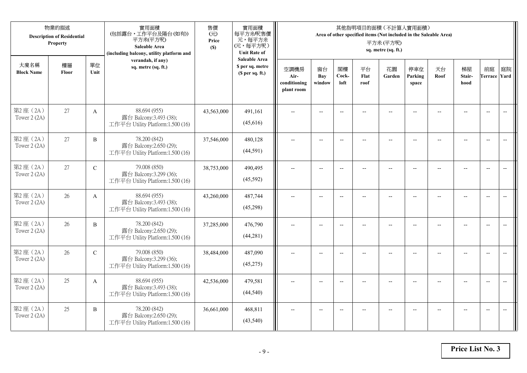|                           | 物業的描述<br><b>Description of Residential</b><br>Property |                | 實用面積<br>(包括露台,工作平台及陽台(如有))<br>平方米(平方呎)<br>Saleable Area<br>(including balcony, utility platform and | 售價<br>(元)<br>Price<br>(S) | 實用面積<br>每平方米/呎售價<br>元,每平方米<br>(元,每平方呎)<br><b>Unit Rate of</b> |                                            |                          |                          | 其他指明項目的面積 (不計算入實用面積)<br>Area of other specified items (Not included in the Saleable Area) | 平方米(平方呎)<br>sq. metre (sq. ft.) |                         |            |                      |                           |                                                     |
|---------------------------|--------------------------------------------------------|----------------|-----------------------------------------------------------------------------------------------------|---------------------------|---------------------------------------------------------------|--------------------------------------------|--------------------------|--------------------------|-------------------------------------------------------------------------------------------|---------------------------------|-------------------------|------------|----------------------|---------------------------|-----------------------------------------------------|
| 大廈名稱<br><b>Block Name</b> | 樓層<br>Floor                                            | 單位<br>Unit     | verandah, if any)<br>sq. metre (sq. ft.)                                                            |                           | <b>Saleable Area</b><br>\$ per sq. metre<br>(\$ per sq. ft.)  | 空調機房<br>Air-<br>conditioning<br>plant room | 窗台<br>Bay<br>window      | 閣樓<br>Cock-<br>loft      | 平台<br>Flat<br>roof                                                                        | 花園<br>Garden                    | 停車位<br>Parking<br>space | 天台<br>Roof | 梯屋<br>Stair-<br>hood | 前庭<br><b>Terrace Yard</b> | 庭院                                                  |
| 第2座(2A)<br>Tower $2(2A)$  | 27                                                     | $\mathbf{A}$   | 88.694 (955)<br>露台 Balcony:3.493 (38);<br>工作平台 Utility Platform:1.500 (16)                          | 43,563,000                | 491,161<br>(45,616)                                           |                                            |                          | $-$                      |                                                                                           |                                 |                         |            |                      | $\overline{\phantom{a}}$  | $\overline{\phantom{a}}$                            |
| 第2座(2A)<br>Tower 2 (2A)   | 27                                                     | $\overline{B}$ | 78.200 (842)<br>露台 Balcony:2.650 (29);<br>工作平台 Utility Platform:1.500 (16)                          | 37,546,000                | 480,128<br>(44,591)                                           | $\overline{a}$                             | $\overline{\phantom{a}}$ | $\overline{\phantom{a}}$ | $-$                                                                                       | $\overline{\phantom{a}}$        | $-$                     | $-$        | $\overline{a}$       | $\overline{a}$            | $-$                                                 |
| 第2座(2A)<br>Tower 2 (2A)   | 27                                                     | $\mathbf C$    | 79.008 (850)<br>露台 Balcony:3.299 (36);<br>工作平台 Utility Platform:1.500 (16)                          | 38,753,000                | 490,495<br>(45,592)                                           |                                            | $\overline{a}$           | $-$                      |                                                                                           | $\overline{a}$                  |                         |            | $\overline{a}$       | $\overline{a}$            |                                                     |
| 第2座(2A)<br>Tower $2(2A)$  | 26                                                     | $\mathbf{A}$   | 88.694 (955)<br>露台 Balcony:3.493 (38);<br>工作平台 Utility Platform:1.500 (16)                          | 43,260,000                | 487,744<br>(45,298)                                           | $\overline{\phantom{a}}$                   | $-$                      | $-$                      | $\overline{a}$                                                                            | $\overline{\phantom{a}}$        | $\overline{a}$          |            | $\overline{a}$       | $\overline{\phantom{a}}$  | $\overline{\phantom{a}}$                            |
| 第2座(2A)<br>Tower 2 (2A)   | 26                                                     | B              | 78.200 (842)<br>露台 Balcony:2.650 (29);<br>工作平台 Utility Platform:1.500 (16)                          | 37,285,000                | 476,790<br>(44, 281)                                          | $\overline{a}$                             | $- -$                    | $\overline{\phantom{a}}$ | $\qquad \qquad -$                                                                         | $-$                             | $-$                     | --         | $-$                  | $\overline{\phantom{m}}$  | $\hspace{0.05cm} -\hspace{0.05cm} -\hspace{0.05cm}$ |
| 第2座 (2A)<br>Tower 2 (2A)  | 26                                                     | $\mathbf C$    | 79.008 (850)<br>露台 Balcony:3.299 (36);<br>工作平台 Utility Platform:1.500 (16)                          | 38,484,000                | 487,090<br>(45,275)                                           |                                            | $-$                      | $-$                      |                                                                                           |                                 |                         |            | $-$                  | $\overline{\phantom{a}}$  | $-$                                                 |
| 第2座(2A)<br>Tower 2 (2A)   | 25                                                     | $\mathbf{A}$   | 88.694 (955)<br>露台 Balcony:3.493 (38);<br>工作平台 Utility Platform:1.500 (16)                          | 42,536,000                | 479,581<br>(44, 540)                                          | $\sim$                                     | $-$                      | $-$                      |                                                                                           | $\sim$                          |                         |            | $\overline{a}$       | $-$                       | $\overline{a}$                                      |
| 第2座(2A)<br>Tower 2 (2A)   | 25                                                     | B              | 78.200 (842)<br>露台 Balcony:2.650 (29);<br>工作平台 Utility Platform:1.500 (16)                          | 36,661,000                | 468,811<br>(43,540)                                           |                                            | $-$                      |                          |                                                                                           | --                              |                         |            |                      | $\overline{a}$            | $-$                                                 |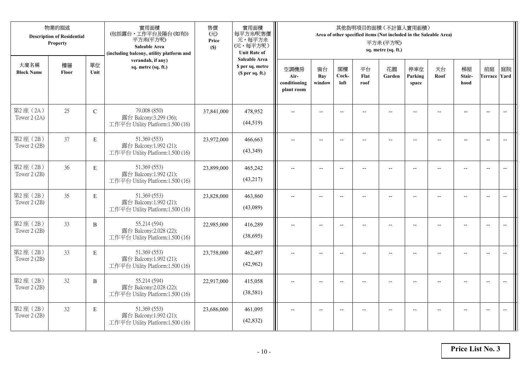|                           | 物業的描述<br><b>Description of Residential</b><br>Property |              | 實用面積<br>(包括露台,工作平台及陽台(如有))<br>平方米(平方呎)<br>Saleable Area<br>(including balcony, utility platform and | 售價<br>(元)<br>Price<br>(S) | 實用面積<br>每平方米/呎售價<br>元,每平方米<br>(元,每平方呎)<br><b>Unit Rate of</b>          |                                            |                          |                          |                          | 其他指明項目的面積 (不計算入實用面積)<br>Area of other specified items (Not included in the Saleable Area)<br>平方米(平方呎)<br>sq. metre (sq. ft.) |                          |                |                          |                           |                          |
|---------------------------|--------------------------------------------------------|--------------|-----------------------------------------------------------------------------------------------------|---------------------------|------------------------------------------------------------------------|--------------------------------------------|--------------------------|--------------------------|--------------------------|------------------------------------------------------------------------------------------------------------------------------|--------------------------|----------------|--------------------------|---------------------------|--------------------------|
| 大廈名稱<br><b>Block Name</b> | 樓層<br>Floor                                            | 單位<br>Unit   | verandah, if any)<br>sq. metre (sq. ft.)                                                            |                           | <b>Saleable Area</b><br>\$ per sq. metre<br>(S <sub>per</sub> sq. ft.) | 空調機房<br>Air-<br>conditioning<br>plant room | 窗台<br>Bay<br>window      | 閣樓<br>Cock-<br>loft      | 平台<br>Flat<br>roof       | 花園<br>Garden                                                                                                                 | 停車位<br>Parking<br>space  | 天台<br>Roof     | 梯屋<br>Stair-<br>hood     | 前庭<br><b>Terrace Yard</b> | 庭院                       |
| 第2座(2A)<br>Tower 2 (2A)   | 25                                                     | ${\bf C}$    | 79.008 (850)<br>露台 Balcony:3.299 (36);<br>工作平台 Utility Platform:1.500 (16)                          | 37,841,000                | 478,952<br>(44,519)                                                    |                                            |                          | $\overline{a}$           |                          |                                                                                                                              |                          |                |                          | $\overline{a}$            | $\overline{\phantom{a}}$ |
| 第2座(2B)<br>Tower 2 (2B)   | 37                                                     | $\mathbf E$  | 51.369 (553)<br>露台 Balcony:1.992 (21);<br>工作平台 Utility Platform:1.500 (16)                          | 23,972,000                | 466,663<br>(43,349)                                                    | $\overline{\phantom{a}}$                   | $\overline{\phantom{a}}$ | $\overline{\phantom{a}}$ | $\overline{a}$           | $\overline{\phantom{a}}$                                                                                                     | $-$                      |                | $\overline{a}$           | $-$                       | $\overline{\phantom{m}}$ |
| 第2座(2B)<br>Tower 2 (2B)   | 36                                                     | $\mathbf E$  | 51.369 (553)<br>露台 Balcony:1.992 (21);<br>工作平台 Utility Platform:1.500 (16)                          | 23,899,000                | 465,242<br>(43,217)                                                    |                                            | $\overline{\phantom{a}}$ | $-$                      | $-$                      | $-$                                                                                                                          |                          |                | $\overline{\phantom{a}}$ | $\overline{\phantom{a}}$  |                          |
| 第2座(2B)<br>Tower 2 (2B)   | 35                                                     | $\mathbf E$  | 51.369 (553)<br>露台 Balcony:1.992 (21);<br>工作平台 Utility Platform:1.500 (16)                          | 23,828,000                | 463,860<br>(43,089)                                                    | $-$                                        | $\overline{\phantom{m}}$ | $\overline{\phantom{a}}$ | $\overline{\phantom{a}}$ | $-$                                                                                                                          | $\overline{\phantom{a}}$ | $\overline{a}$ | --                       | $-$                       | $\overline{\phantom{m}}$ |
| 第2座(2B)<br>Tower 2 (2B)   | 33                                                     | $\, {\bf B}$ | 55.214 (594)<br>露台 Balcony: 2.028 (22);<br>工作平台 Utility Platform:1.500 (16)                         | 22,985,000                | 416,289<br>(38,695)                                                    | $\sim$                                     | $\overline{a}$           | $\overline{a}$           | $\overline{a}$           | $-$                                                                                                                          | $\overline{a}$           |                | $\overline{a}$           | $\overline{\phantom{a}}$  | $\overline{\phantom{a}}$ |
| 第2座(2B)<br>Tower 2 (2B)   | 33                                                     | E            | 51.369 (553)<br>露台 Balcony:1.992 (21);<br>工作平台 Utility Platform:1.500 (16)                          | 23,758,000                | 462,497<br>(42,962)                                                    | $\overline{\phantom{a}}$                   | $\overline{a}$           | $-$                      |                          | $-$                                                                                                                          | $-$                      | $-$            | $\overline{a}$           | $\overline{\phantom{a}}$  | $\sim$                   |
| 第2座(2B)<br>Tower 2 (2B)   | 32                                                     | B            | 55.214 (594)<br>露台 Balcony:2.028 (22);<br>工作平台 Utility Platform:1.500 (16)                          | 22,917,000                | 415,058<br>(38,581)                                                    |                                            |                          | $\overline{\phantom{a}}$ |                          |                                                                                                                              |                          |                |                          | $\overline{\phantom{a}}$  | $\overline{\phantom{a}}$ |
| 第2座(2B)<br>Tower 2 (2B)   | 32                                                     | $\mathbf E$  | 51.369 (553)<br>露台 Balcony:1.992 (21);<br>工作平台 Utility Platform:1.500 (16)                          | 23,686,000                | 461,095<br>(42, 832)                                                   | $\overline{\phantom{a}}$                   | $-$                      | $-$                      |                          | $\overline{a}$                                                                                                               | $-$                      |                | $-$                      | $-$                       | $\overline{\phantom{a}}$ |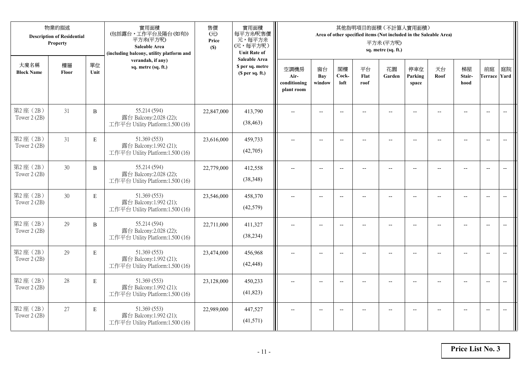| 物業的描述<br><b>Description of Residential</b><br>Property |             |              | 實用面積<br>(包括露台,工作平台及陽台(如有))<br>平方米(平方呎)<br>Saleable Area<br>(including balcony, utility platform and | 售價<br>(元)<br>Price<br>(S) | 實用面積<br>每平方米/呎售價<br>元,每平方米<br>(元,每平方呎)<br><b>Unit Rate of</b>          | 其他指明項目的面積 (不計算入實用面積)<br>Area of other specified items (Not included in the Saleable Area)<br>平方米(平方呎)<br>sq. metre (sq. ft.) |                          |                          |                          |                          |                          |                |                                                     |                           |                          |  |
|--------------------------------------------------------|-------------|--------------|-----------------------------------------------------------------------------------------------------|---------------------------|------------------------------------------------------------------------|------------------------------------------------------------------------------------------------------------------------------|--------------------------|--------------------------|--------------------------|--------------------------|--------------------------|----------------|-----------------------------------------------------|---------------------------|--------------------------|--|
| 大廈名稱<br><b>Block Name</b>                              | 樓層<br>Floor | 單位<br>Unit   | verandah, if any)<br>sq. metre (sq. ft.)                                                            |                           | <b>Saleable Area</b><br>\$ per sq. metre<br>(S <sub>per</sub> sq. ft.) | 空調機房<br>Air-<br>conditioning<br>plant room                                                                                   | 窗台<br>Bay<br>window      | 閣樓<br>Cock-<br>loft      | 平台<br>Flat<br>roof       | 花園<br>Garden             | 停車位<br>Parking<br>space  | 天台<br>Roof     | 梯屋<br>Stair-<br>hood                                | 前庭<br><b>Terrace Yard</b> | 庭院                       |  |
| 第2座(2B)<br>Tower 2 (2B)                                | 31          | $\, {\bf B}$ | 55.214 (594)<br>露台 Balcony:2.028 (22);<br>工作平台 Utility Platform:1.500 (16)                          | 22,847,000                | 413,790<br>(38, 463)                                                   |                                                                                                                              |                          | $\overline{a}$           |                          |                          |                          |                |                                                     | $\overline{a}$            | $\overline{\phantom{a}}$ |  |
| 第2座(2B)<br>Tower 2 (2B)                                | 31          | $\mathbf E$  | 51.369 (553)<br>露台 Balcony:1.992 (21);<br>工作平台 Utility Platform:1.500 (16)                          | 23,616,000                | 459,733<br>(42,705)                                                    | $\overline{\phantom{a}}$                                                                                                     | $\overline{\phantom{a}}$ | $\overline{a}$           | $\overline{a}$           | $\overline{\phantom{a}}$ | $-$                      |                | $\overline{a}$                                      | $-$                       |                          |  |
| 第2座(2B)<br>Tower 2 (2B)                                | 30          | $\, {\bf B}$ | 55.214 (594)<br>露台 Balcony:2.028 (22);<br>工作平台 Utility Platform:1.500 (16)                          | 22,779,000                | 412,558<br>(38,348)                                                    |                                                                                                                              | $\overline{\phantom{a}}$ | $-$                      | $-$                      | $-$                      |                          |                | $\overline{\phantom{a}}$                            | $\overline{\phantom{a}}$  |                          |  |
| 第2座(2B)<br>Tower 2 (2B)                                | 30          | $\mathbf E$  | 51.369 (553)<br>露台 Balcony:1.992 (21);<br>工作平台 Utility Platform:1.500 (16)                          | 23,546,000                | 458,370<br>(42,579)                                                    | $-$                                                                                                                          | $\overline{\phantom{m}}$ | $\overline{\phantom{a}}$ | $\overline{\phantom{a}}$ | $-$                      | $\overline{\phantom{a}}$ | $\overline{a}$ | $\hspace{0.05cm} -\hspace{0.05cm} -\hspace{0.05cm}$ | $\overline{\phantom{a}}$  | $\overline{\phantom{m}}$ |  |
| 第2座(2B)<br>Tower 2 (2B)                                | 29          | $\, {\bf B}$ | 55.214 (594)<br>露台 Balcony: 2.028 (22);<br>工作平台 Utility Platform:1.500 (16)                         | 22,711,000                | 411,327<br>(38, 234)                                                   | $\sim$                                                                                                                       | $\overline{a}$           | $\overline{a}$           | $\overline{a}$           | $-$                      | $\overline{a}$           |                | $\overline{a}$                                      | $\overline{\phantom{a}}$  | $\overline{\phantom{a}}$ |  |
| 第2座(2B)<br>Tower 2 (2B)                                | 29          | E            | 51.369 (553)<br>露台 Balcony:1.992 (21);<br>工作平台 Utility Platform:1.500 (16)                          | 23,474,000                | 456,968<br>(42, 448)                                                   | $\overline{\phantom{a}}$                                                                                                     | $\overline{a}$           | $-$                      |                          | $\overline{a}$           | $-$                      | $-$            | $\overline{a}$                                      | $\overline{\phantom{a}}$  | $\sim$                   |  |
| 第2座(2B)<br>Tower 2 (2B)                                | 28          | E            | 51.369 (553)<br>露台 Balcony:1.992 (21);<br>工作平台 Utility Platform:1.500 (16)                          | 23,128,000                | 450,233<br>(41,823)                                                    |                                                                                                                              |                          | $\overline{\phantom{a}}$ |                          |                          |                          |                |                                                     | $\overline{\phantom{a}}$  | $\overline{a}$           |  |
| 第2座(2B)<br>Tower 2 (2B)                                | 27          | $\mathbf E$  | 51.369 (553)<br>露台 Balcony:1.992 (21);<br>工作平台 Utility Platform:1.500 (16)                          | 22,989,000                | 447,527<br>(41,571)                                                    | $\overline{\phantom{a}}$                                                                                                     | $-$                      | $-$                      |                          | $\overline{a}$           | $-$                      |                | $-$                                                 | $-$                       | $\overline{\phantom{a}}$ |  |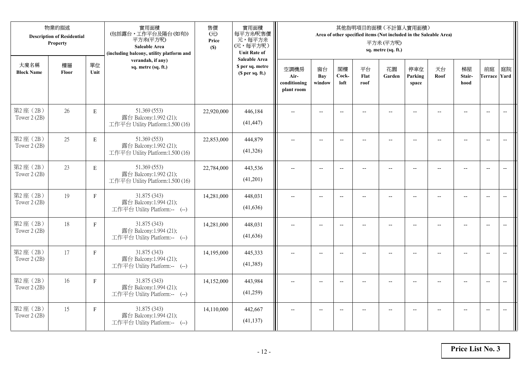| 物業的描述<br><b>Description of Residential</b><br>Property |             |              | 實用面積<br>(包括露台,工作平台及陽台(如有))<br>平方米(平方呎)<br>Saleable Area<br>(including balcony, utility platform and | 售價<br>(元)<br>Price<br>(S) | 實用面積<br>每平方米/呎售價<br>元,每平方米<br>(元,每平方呎)<br><b>Unit Rate of</b> | 其他指明項目的面積 (不計算入實用面積)<br>Area of other specified items (Not included in the Saleable Area)<br>平方米(平方呎)<br>sq. metre (sq. ft.) |                          |                          |                    |                          |                          |                          |                                                     |                           |                          |  |
|--------------------------------------------------------|-------------|--------------|-----------------------------------------------------------------------------------------------------|---------------------------|---------------------------------------------------------------|------------------------------------------------------------------------------------------------------------------------------|--------------------------|--------------------------|--------------------|--------------------------|--------------------------|--------------------------|-----------------------------------------------------|---------------------------|--------------------------|--|
| 大廈名稱<br><b>Block Name</b>                              | 樓層<br>Floor | 單位<br>Unit   | verandah, if any)<br>sq. metre (sq. ft.)                                                            |                           | <b>Saleable Area</b><br>\$ per sq. metre<br>(\$ per sq. ft.)  | 空調機房<br>Air-<br>conditioning<br>plant room                                                                                   | 窗台<br>Bay<br>window      | 閣樓<br>Cock-<br>loft      | 平台<br>Flat<br>roof | 花園<br>Garden             | 停車位<br>Parking<br>space  | 天台<br>Roof               | 梯屋<br>Stair-<br>hood                                | 前庭<br><b>Terrace Yard</b> | 庭院                       |  |
| 第2座(2B)<br>Tower 2 (2B)                                | 26          | $\mathbf E$  | 51.369 (553)<br>露台 Balcony:1.992 (21);<br>工作平台 Utility Platform:1.500 (16)                          | 22,920,000                | 446,184<br>(41, 447)                                          |                                                                                                                              | $-$                      | $\overline{a}$           |                    | $\sim$                   |                          |                          |                                                     | $\overline{a}$            | $\overline{\phantom{a}}$ |  |
| 第2座(2B)<br>Tower 2 (2B)                                | 25          | $\mathbf E$  | 51.369 (553)<br>露台 Balcony:1.992 (21);<br>工作平台 Utility Platform:1.500 (16)                          | 22,853,000                | 444,879<br>(41,326)                                           | $\overline{\phantom{a}}$                                                                                                     | $\overline{\phantom{a}}$ | $\overline{a}$           | $-$                | $\overline{\phantom{a}}$ | $-$                      | $\overline{\phantom{a}}$ | $\overline{a}$                                      | $-$                       |                          |  |
| 第2座(2B)<br>Tower 2 (2B)                                | 23          | $\mathbf E$  | 51.369 (553)<br>露台 Balcony:1.992 (21);<br>工作平台 Utility Platform:1.500 (16)                          | 22,784,000                | 443,536<br>(41,201)                                           |                                                                                                                              | $\overline{\phantom{a}}$ | $\overline{\phantom{a}}$ | $-$                | $-$                      |                          |                          | $\overline{\phantom{a}}$                            | $\overline{\phantom{m}}$  |                          |  |
| 第2座(2B)<br>Tower 2 (2B)                                | 19          | $\mathbf F$  | 31.875 (343)<br>露台 Balcony:1.994 (21);<br>工作平台 Utility Platform:-- (--)                             | 14,281,000                | 448,031<br>(41, 636)                                          | $-$                                                                                                                          | $\overline{\phantom{m}}$ | $\overline{\phantom{a}}$ | $-$                | $-$                      | $\overline{\phantom{a}}$ | $\overline{a}$           | $\hspace{0.05cm} -\hspace{0.05cm} -\hspace{0.05cm}$ | $-$                       | $\overline{\phantom{m}}$ |  |
| 第2座(2B)<br>Tower 2 (2B)                                | 18          | $\mathbf{F}$ | 31.875 (343)<br>露台 Balcony:1.994 (21);<br>工作平台 Utility Platform:-- (--)                             | 14,281,000                | 448,031<br>(41, 636)                                          | $\sim$                                                                                                                       | $\overline{a}$           | $\overline{a}$           | $\overline{a}$     | $\overline{\phantom{a}}$ | $\overline{a}$           |                          | $\overline{a}$                                      | $\overline{\phantom{a}}$  | $\overline{\phantom{a}}$ |  |
| 第2座(2B)<br>Tower 2 (2B)                                | 17          | $\mathbf F$  | 31.875 (343)<br>露台 Balcony:1.994 (21);<br>工作平台 Utility Platform:-- (--)                             | 14,195,000                | 445,333<br>(41,385)                                           | $\overline{\phantom{a}}$                                                                                                     | $\overline{a}$           | $\overline{\phantom{a}}$ |                    | $\overline{a}$           | $\sim$                   | $-$                      | $\sim$                                              | $\overline{\phantom{a}}$  | $\sim$                   |  |
| 第2座(2B)<br>Tower 2 (2B)                                | 16          | $\mathbf F$  | 31.875 (343)<br>露台 Balcony:1.994 (21);<br>工作平台 Utility Platform:-- (--)                             | 14,152,000                | 443,984<br>(41,259)                                           |                                                                                                                              | $-$                      | $\overline{\phantom{a}}$ |                    |                          |                          |                          |                                                     | $\overline{\phantom{a}}$  | $-$                      |  |
| 第2座(2B)<br>Tower 2 (2B)                                | 15          | $\mathbf{F}$ | 31.875 (343)<br>露台 Balcony:1.994 (21);<br>工作平台 Utility Platform:-- (--)                             | 14,110,000                | 442,667<br>(41, 137)                                          | $\overline{\phantom{a}}$                                                                                                     | $-$                      | $\overline{\phantom{a}}$ | $\overline{a}$     | $\overline{\phantom{a}}$ | $-$                      |                          | $\overline{a}$                                      | $-$                       | $\overline{\phantom{a}}$ |  |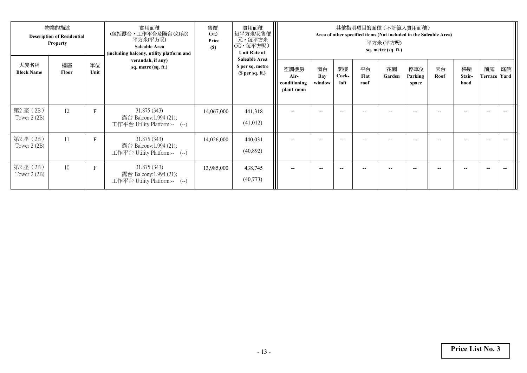| 物業的描述<br><b>Description of Residential</b><br><b>Property</b> |             |             | 實用面積<br>(包括露台,工作平台及陽台 (如有))<br>平方米(平方呎)<br><b>Saleable Area</b><br>(including balcony, utility platform and | 售價<br>$(\overrightarrow{\pi})$<br>Price<br>(S) | 實用面積<br>每平方米/呎售價<br>元,每平方米<br>(元,每平方呎)<br><b>Unit Rate of</b> | 其他指明項目的面積(不計算入實用面積)<br>Area of other specified items (Not included in the Saleable Area)<br>平方米 (平方呎)<br>sq. metre (sq. ft.) |                     |                          |                    |              |                         |            |                      |                          |    |
|---------------------------------------------------------------|-------------|-------------|-------------------------------------------------------------------------------------------------------------|------------------------------------------------|---------------------------------------------------------------|------------------------------------------------------------------------------------------------------------------------------|---------------------|--------------------------|--------------------|--------------|-------------------------|------------|----------------------|--------------------------|----|
| 大廈名稱<br><b>Block Name</b>                                     | 樓層<br>Floor | 單位<br>Unit  | verandah, if any)<br>sq. metre (sq. ft.)                                                                    |                                                | <b>Saleable Area</b><br>\$ per sq. metre<br>(\$ per sq. ft.)  | 空調機房<br>Air-<br>conditioning<br>plant room                                                                                   | 窗台<br>Bay<br>window | 閣樓<br>Cock-<br>loft      | 平台<br>Flat<br>roof | 花園<br>Garden | 停車位<br>Parking<br>space | 天台<br>Roof | 梯屋<br>Stair-<br>hood | 前庭<br>Terrace Yard       | 庭院 |
| 第2座 (2B)<br>Tower $2(2B)$                                     | 12          | $\mathbf F$ | 31.875 (343)<br>露台 Balcony:1.994 (21);<br>工作平台 Utility Platform:-- (--)                                     | 14,067,000                                     | 441,318<br>(41,012)                                           |                                                                                                                              | $\qquad \qquad -$   |                          |                    | --           |                         |            |                      | $-$                      |    |
| 第2座(2B)<br>Tower $2(2B)$                                      | 11          | $\mathbf F$ | 31.875 (343)<br>露台 Balcony:1.994 (21);<br>工作平台 Utility Platform:-- (--)                                     | 14,026,000                                     | 440,031<br>(40, 892)                                          |                                                                                                                              | $- -$               | $-$                      |                    | $- -$        | --                      | --         |                      | $\hspace{0.05cm} \ldots$ |    |
| 第2座 (2B)<br>Tower $2(2B)$                                     | 10          | F           | 31.875 (343)<br>露台 Balcony:1.994 (21);<br>工作平台 Utility Platform:-- (--)                                     | 13,985,000                                     | 438,745<br>(40,773)                                           | $-$                                                                                                                          | $- -$               | $\overline{\phantom{a}}$ | --                 | $- -$        | $- -$                   | --         |                      | $\hspace{0.05cm} \ldots$ |    |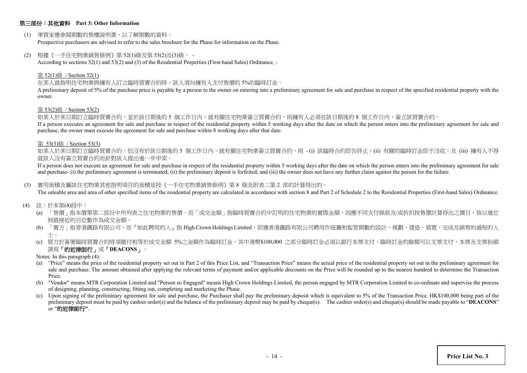## 第三部份:其他資料 **Part 3: Other Information**

(1) 準買家應參閱期數的售樓說明書,以了解期數的資料。

Prospective purchasers are advised to refer to the sales brochure for the Phase for information on the Phase.

(2) 根據《一手住宅物業銷售條例》第 52(1)條及第 53(2)及(3)條, -

According to sections 52(1) and 53(2) and (3) of the Residential Properties (First-hand Sales) Ordinance, -

#### 第 52(1)條 / Section 52(1)

#### 在某人就指明住宅物業與擁有人訂立臨時買賣合約時,該人須向擁有人支付售價的 5%的臨時訂金。

A preliminary deposit of 5% of the purchase price is payable by a person to the owner on entering into a preliminary agreement for sale and purchase in respect of the specified residential property with the owner.

#### 第 53(2)條 / Section 53(2)

如某人於某日期訂立臨時買賣合約,並於該日期後的 5 個工作日內,就有關住宅物業簽立買賣合約,則擁有人必須在該日期後的 8 個工作日內,簽立該買賣合約。

If a person executes an agreement for sale and purchase in respect of the residential property within 5 working days after the date on which the person enters into the preliminary agreement for sale and purchase, the owner must execute the agreement for sale and purchase within 8 working days after that date.

#### 第 53(3)條 / Section 53(3)

如某人於某日期訂立臨時買賣合約,但沒有於該日期後的 5 個工作日内,就有關住宅物業簽立買賣合約,則 -(i) 該臨時合約即告終止;(ii) 有關的臨時訂金即予沒收;及 (iii) 擁有人不得 就該人沒有簽立買賣合約而針對該人提出進一步申索。

If a person does not execute an agreement for sale and purchase in respect of the residential property within 5 working days after the date on which the person enters into the preliminary agreement for sale and purchase- (i) the preliminary agreement is terminated; (ii) the preliminary deposit is forfeited; and (iii) the owner does not have any further claim against the person for the failure.

#### (3) 實用面積及屬該住宅物業其他指明項目的面積是按《一手住宅物業銷售條例》第 8 條及附表二第 2 部的計算得出的。

The saleable area and area of other specified items of the residential property are calculated in accordance with section 8 and Part 2 of Schedule 2 to the Residential Properties (First-hand Sales) Ordinance.

- (4) 註:於本第(4)段中:
	- (a) 「售價」指本價單第二部份中所列表之住宅物業的售價。而「成交金額」指臨時買賣合約中訂明的住宅物業的實際金額,因應不同支付條款及/或折扣按售價計算得出之價目,皆以進位 到最接近的百位數作為成交金額。
	- (b) 「賣方」指香港鐵路有限公司,而『如此聘用的人』指 High Crown Holdings Limited,即獲香港鐵路有限公司聘用作統籌和監管期數的設計、規劃、建造、裝置、完成及銷售的過程的人 士。
	- (c) 買方於簽署臨時買賣合約時須繳付相等於成交金額 5%之金額作為臨時訂金,其中港幣\$100,000 之部分臨時訂金必須以銀行本票支付,臨時訂金的餘額可以支票支付,本票及支票抬頭 請寫「的近律師行」或「**DEACONS**」。
	- Notes: In this paragraph (4):
	- (a) "Price" means the price of the residential property set out in Part 2 of this Price List, and "Transaction Price" means the actual price of the residential property set out in the preliminary agreement for sale and purchase. The amount obtained after applying the relevant terms of payment and/or applicable discounts on the Price will be rounded up to the nearest hundred to determine the Transaction Price.
	- (b) "Vendor" means MTR Corporation Limited and "Person so Engaged" means High Crown Holdings Limited, the person engaged by MTR Corporation Limited to co-ordinate and supervise the process of designing, planning, constructing, fitting out, completing and marketing the Phase.
	- (c) Upon signing of the preliminary agreement for sale and purchase, the Purchaser shall pay the preliminary deposit which is equivalent to 5% of the Transaction Price. HK\$100,000 being part of the preliminary deposit must be paid by cashier order(s) and the balance of the preliminary deposit may be paid by cheque(s). The cashier order(s) and cheque(s) should be made payable to "**DEACONS**" or "的近律師行**"**.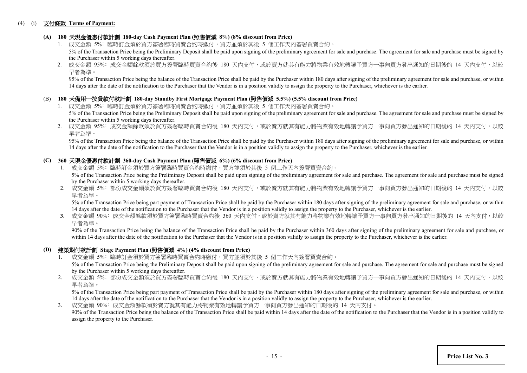## (4) (i) 支付條款 **Terms of Payment:**

## **(A) 180** 天現金優惠付款計劃 **180-day Cash Payment Plan (**照售價減 **8%) (8% discount from Price)**

- 1. 成交金額 5%: 臨時訂金須於買方簽署臨時買賣合約時繳付,買方並須於其後 5 個工作天内簽署買賣合約。 5% of the Transaction Price being the Preliminary Deposit shall be paid upon signing of the preliminary agreement for sale and purchase. The agreement for sale and purchase must be signed by the Purchaser within 5 working days thereafter.
- 2. 成交金額 95%: 成交金額餘款須於買方簽署臨時買賣合約後 180 天內支付,或於賣方就其有能力將物業有效地轉讓予買方一事向買方發出通知的日期後的 14 天内支付,以較 早者為準。

95% of the Transaction Price being the balance of the Transaction Price shall be paid by the Purchaser within 180 days after signing of the preliminary agreement for sale and purchase, or within 14 days after the date of the notification to the Purchaser that the Vendor is in a position validly to assign the property to the Purchaser, whichever is the earlier.

## (B) **180** 天備用一按貸款付款計劃 **180-day Standby First Mortgage Payment Plan (**照售價減 **5.5%) (5.5% discount from Price)**

- 1. 成交金額 5%: 臨時訂金須於買方簽署臨時買賣合約時繳付,買方並須於其後 5 個工作天內簽署買賣合約。 5% of the Transaction Price being the Preliminary Deposit shall be paid upon signing of the preliminary agreement for sale and purchase. The agreement for sale and purchase must be signed by the Purchaser within 5 working days thereafter.
- 2. 成交金額 95%: 成交金額餘款須於買方簽署臨時買賣合約後 180 天內支付,或於賣方就其有能力將物業有效地轉讓予買方一事向買方發出通知的日期後的 14 天内支付,以較 早者為準。

 95% of the Transaction Price being the balance of the Transaction Price shall be paid by the Purchaser within 180 days after signing of the preliminary agreement for sale and purchase, or within 14 days after the date of the notification to the Purchaser that the Vendor is in a position validly to assign the property to the Purchaser, whichever is the earlier.

## **(C) 360** 天現金優惠付款計劃 **360-day Cash Payment Plan (**照售價減 **6%) (6% discount from Price)**

- 1. 成交金額 5%: 臨時訂金須於買方簽署臨時買賣合約時繳付,買方並須於其後 5 個工作天內簽署買賣合約。 5% of the Transaction Price being the Preliminary Deposit shall be paid upon signing of the preliminary agreement for sale and purchase. The agreement for sale and purchase must be signed by the Purchaser within 5 working days thereafter.
- 2. 成交金額 5%: 部份成交金額須於買方簽署臨時買賣合約後 180 天內支付,或於賣方就其有能力將物業有效地轉讓予買方一事向買方發出通知的日期後的 14 天內支付,以較 早者為準。

5% of the Transaction Price being part payment of Transaction Price shall be paid by the Purchaser within 180 days after signing of the preliminary agreement for sale and purchase, or within 14 days after the date of the notification to the Purchaser that the Vendor is in a position validly to assign the property to the Purchaser, whichever is the earlier.

3. 成交金額 90%: 成交金額餘款須於買方簽署臨時買賣合約後 360 天内支付,或於賣方就其有能力將物業有效地轉讓予買方一事向買方發出通知的日期後的 14 天内支付,以較 早者為準。

90% of the Transaction Price being the balance of the Transaction Price shall be paid by the Purchaser within 360 days after signing of the preliminary agreement for sale and purchase, or within 14 days after the date of the notification to the Purchaser that the Vendor is in a position validly to assign the property to the Purchaser, whichever is the earlier.

### **(D)** 建築期付款計劃 **Stage Payment Plan (**照售價減 **4%) (4% discount from Price)**

- 1. 成交金額 5%﹕臨時訂金須於買方簽署臨時買賣合約時繳付,買方並須於其後 5 個工作天內簽署買賣合約。 5% of the Transaction Price being the Preliminary Deposit shall be paid upon signing of the preliminary agreement for sale and purchase. The agreement for sale and purchase must be signed
- by the Purchaser within 5 working days thereafter. 2. 成交金額 5%: 部份成交金額須於買方簽署臨時買賣合約後 180 天內支付,或於賣方就其有能力將物業有效地轉讓予買方一事向買方發出通知的日期後的 14 天内支付,以較
- 早者為準。

5% of the Transaction Price being part payment of Transaction Price shall be paid by the Purchaser within 180 days after signing of the preliminary agreement for sale and purchase, or within 14 days after the date of the notification to the Purchaser that the Vendor is in a position validly to assign the property to the Purchaser, whichever is the earlier.

3. 成交金額 90%﹕成交金額餘款須於賣方就其有能力將物業有效地轉讓予買方一事向買方發出通知的日期後的 14 天內支付。 90% of the Transaction Price being the balance of the Transaction Price shall be paid within 14 days after the date of the notification to the Purchaser that the Vendor is in a position validly to assign the property to the Purchaser.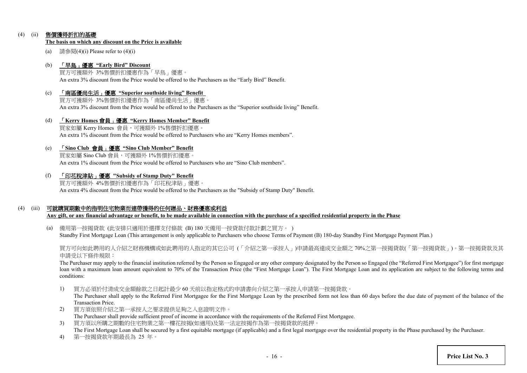## (4) (ii) 售價獲得折扣的基礎

#### **The basis on which any discount on the Price is available**

(a) 請參閱(4)(i) Please refer to  $(4)$ (i)

## (b) 「早鳥」優惠 **"Early Bird" Discount**

買方可獲額外 3%售價折扣優惠作為「早鳥」優惠。 An extra 3% discount from the Price would be offered to the Purchasers as the "Early Bird" Benefit.

(c) 「南區優尚生活」優惠 **"Superior southside living" Benefit** 買方可獲額外 3%售價折扣優惠作為「南區優尚生活」優惠。

An extra 3% discount from the Price would be offered to the Purchasers as the "Superior southside living" Benefit.

(d) 「**Kerry Homes** 會員」優惠 **"Kerry Homes Member" Benefit** 買家如屬 Kerry Homes 會員,可獲額外 1%售價折扣優惠。 An extra 1% discount from the Price would be offered to Purchasers who are "Kerry Homes members".

## (e) 「**Sino Club** 會員」優惠 **"Sino Club Member" Benefit**

買家如屬 Sino Club 會員,可獲額外 1%售價折扣優惠。 An extra 1% discount from the Price would be offered to Purchasers who are "Sino Club members".

(f) 「印花稅津貼」優惠 **"Subsidy of Stamp Duty" Benefit**

買方可獲額外 4%售價折扣優惠作為「印花稅津貼」優惠。 An extra 4% discount from the Price would be offered to the Purchasers as the "Subsidy of Stamp Duty" Benefit.

## (4) (iii) 可就購買期數中的指明住宅物業而連帶獲得的任何贈品、財務優惠或利益

**Any gift, or any financial advantage or benefit, to be made available in connection with the purchase of a specified residential property in the Phase**

(a) 備用第一按揭貸款 (此安排只適用於選擇支付條款 (B) 180 天備用一按貸款付款計劃之買方。 ) Standby First Mortgage Loan (This arrangement is only applicable to Purchasers who choose Terms of Payment (B) 180-day Standby First Mortgage Payment Plan.)

買方可向如此聘用的人介紹之財務機構或如此聘用的人指定的其它公司 (「介紹之第一承按人」)申請最高達成交金額之 70%之第一按揭貸款(「第一按揭貸款」)。第一按揭貸款及其 申請受以下條件規限:

The Purchaser may apply to the financial institution referred by the Person so Engaged or any other company designated by the Person so Engaged (the "Referred First Mortgagee") for first mortgage loan with a maximum loan amount equivalent to 70% of the Transaction Price (the "First Mortgage Loan"). The First Mortgage Loan and its application are subject to the following terms and conditions:

1) 買方必須於付清成交金額餘款之日起計最少 60 天前以指定格式的申請書向介紹之第一承按人申請第一按揭貸款。

The Purchaser shall apply to the Referred First Mortgagee for the First Mortgage Loan by the prescribed form not less than 60 days before the due date of payment of the balance of the Transaction Price.

- 2) 買方須依照介紹之第一承按人之要求提供足夠之入息證明文件。 The Purchaser shall provide sufficient proof of income in accordance with the requirements of the Referred First Mortgagee.
- 3) 買方須以所購之期數的住宅物業之第一樓花按揭(如適用)及第一法定按揭作為第一按揭貸款的抵押。 The First Mortgage Loan shall be secured by a first equitable mortgage (if applicable) and a first legal mortgage over the residential property in the Phase purchased by the Purchaser.
- 4) 第一按揭貸款年期最長為 25 年。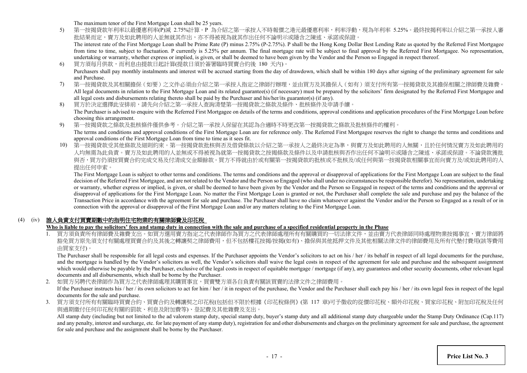The maximum tenor of the First Mortgage Loan shall be 25 years.

5) 第一按揭貸款年利率以最優惠利率(P)減 2.75%計算。P 為介紹之第一承按人不時報價之港元最優惠利率,利率浮動,現為年利率 5.25%。最終按揭利率以介紹之第一承按人審 批結果而定,賣方及如此聘用的人並無就其作出,亦不得被視為就其作出任何不論明示或隱含之陳述、承諾或保證。 The interest rate of the First Mortgage Loan shall be Prime Rate (P) minus 2.75% (P-2.75%). P shall be the Hong Kong Dollar Best Lending Rate as quoted by the Referred First Mortgagee

from time to time, subject to fluctuation. P currently is 5.25% per annum. The final mortgage rate will be subject to final approval by the Referred First Mortgagee. No representation, undertaking or warranty, whether express or implied, is given, or shall be deemed to have been given by the Vendor and the Person so Engaged in respect thereof.

- 6) 買方須每月供款,而利息由提款日起計算(提款日須於簽署臨時買賣合約後 180 天內)。 Purchasers shall pay monthly instalments and interest will be accrued starting from the day of drawdown, which shall be within 180 days after signing of the preliminary agreement for sale and Purchase.
- 7) 第一按揭貸款及其相關擔保(如要)之文件必須由介紹之第一承按人指定之律師行辦理,並由買方及其擔保人(如有)須支付所有第一按揭貸款及其擔保相關之律師費及雜費。 All legal documents in relation to the First Mortgage Loan and its related guarantee(s) (if necessary) must be prepared by the solicitors' firm designated by the Referred First Mortgagee and all legal costs and disbursements relating thereto shall be paid by the Purchaser and his/her/its guarantor(s) (if any).
- 8) 買方於決定選擇此安排前,請先向介紹之第一承按人查詢清楚第一按揭貸款之條款及條件、批核條件及申請手續。 The Purchaser is advised to enquire with the Referred First Mortgagee on details of the terms and conditions, approval conditions and application procedures of the First Mortgage Loan before choosing this arrangement.
- 9) 第一按揭貸款之條款及批核條件僅供參考。介紹之第一承按人保留在其認為合適時不時更改第一按揭貸款之條款及批核條件的權利。 The terms and conditions and approval conditions of the First Mortgage Loan are for reference only. The Referred First Mortgagee reserves the right to change the terms and conditions and approval conditions of the First Mortgage Loan from time to time as it sees fit.
- 10) 第一按揭貸款受其他條款及細則約束。第一按揭貸款批核與否及借貸條款以介紹之第一承按人之最終決定為準,與賣方及如此聘用的人無關,且於任何情況賣方及如此聘用的 人均無需為此負責。賣方及如此聘用的人並無或不得被視為就第一按揭貸款之按揭條款及條件以及申請批核與否作出任何不論明示或隱含之陳述、承諾或保證。不論貸款獲批 與否,買方仍須按買賣合約完成交易及付清成交金額餘款。買方不得就由於或有關第一按揭貸款的批核或不批核及/或任何與第一按揭貸款相關事宜而向賣方及/或如此聘用的人 提出任何申索。

The First Mortgage Loan is subject to other terms and conditions. The terms and conditions and the approval or disapproval of applications for the First Mortgage Loan are subject to the final decision of the Referred First Mortgagee, and are not related to the Vendor and the Person so Engaged (who shall under no circumstances be responsible therefor). No representation, undertaking or warranty, whether express or implied, is given, or shall be deemed to have been given by the Vendor and the Person so Engaged in respect of the terms and conditions and the approval or disapproval of applications for the First Mortgage Loan. No matter the First Mortgage Loan is granted or not, the Purchaser shall complete the sale and purchase and pay the balance of the Transaction Price in accordance with the agreement for sale and purchase. The Purchaser shall have no claim whatsoever against the Vendor and/or the Person so Engaged as a result of or in connection with the approval or disapproval of the First Mortgage Loan and/or any matters relating to the First Mortgage Loan.

## (4) (iv) 誰人負責支付買賣期數中的指明住宅物業的有關律師費及印花稅

## **Who is liable to pay the solicitors' fees and stamp duty in connection with the sale and purchase of a specified residential property in the Phase**

1. 買方須負責所有律師費及雜費支出。如買方選用賣方指定之代表律師作為買方之代表律師處理所有有關購買的一切法律文件,並由賣方代表律師同時處理物業按揭事宜,賣方律師將 豁免買方原先須支付有關處理買賣合約及其後之轉讓契之律師費用,但不包括樓花按揭/按揭(如有)、擔保與其他抵押文件及其他相關法律文件的律師費用及所有代墊付費用(該等費用 由買家支付)。

The Purchaser shall be responsible for all legal costs and expenses. If the Purchaser appoints the Vendor's solicitors to act on his / her / its behalf in respect of all legal documents for the purchase, and the mortgage is handled by the Vendor's solicitors as well, the Vendor's solicitors shall waive the legal costs in respect of the agreement for sale and purchase and the subsequent assignment which would otherwise be payable by the Purchaser, exclusive of the legal costs in respect of equitable mortgage / mortgage (if any), any guarantees and other security documents, other relevant legal documents and all disbursements, which shall be borne by the Purchaser.

2. 如買方另聘代表律師作為買方之代表律師處理其購買事宜,買賣雙方須各自負責有關該買賣的法律文件之律師費用。 If the Purchaser instructs his / her / its own solicitors to act for him / her / it in respect of the purchase, the Vendor and the Purchaser shall each pay his / her / its own legal fees in respect of the legal documents for the sale and purchase.

3. 買方須支付所有有關臨時買賣合約、買賣合約及轉讓契之印花稅(包括但不限於根據《印花稅條例》(第 117 章)可予徵收的從價印花稅、額外印花稅、買家印花稅、附加印花稅及任何 與過期繳付任何印花稅有關的罰款、利息及附加費等)、登記費及其他雜費及支出。

All stamp duty (including but not limited to the ad valorem stamp duty, special stamp duty, buyer's stamp duty and all additional stamp duty chargeable under the Stamp Duty Ordinance (Cap.117) and any penalty, interest and surcharge, etc. for late payment of any stamp duty), registration fee and other disbursements and charges on the preliminary agreement for sale and purchase, the agreement for sale and purchase and the assignment shall be borne by the Purchaser.